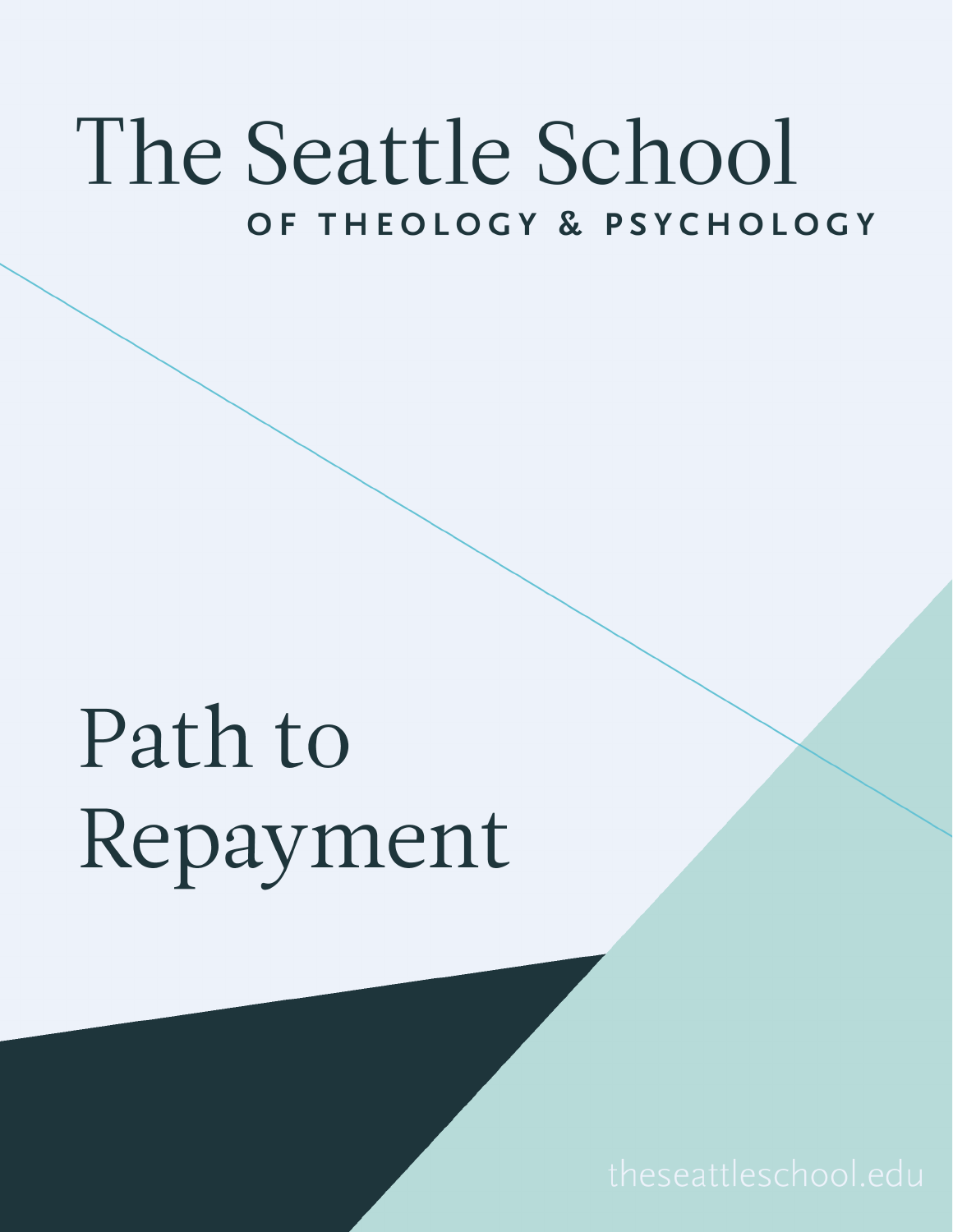### The Seattle School OF THEOLOGY & PSYCHOLOGY

### Path to Repayment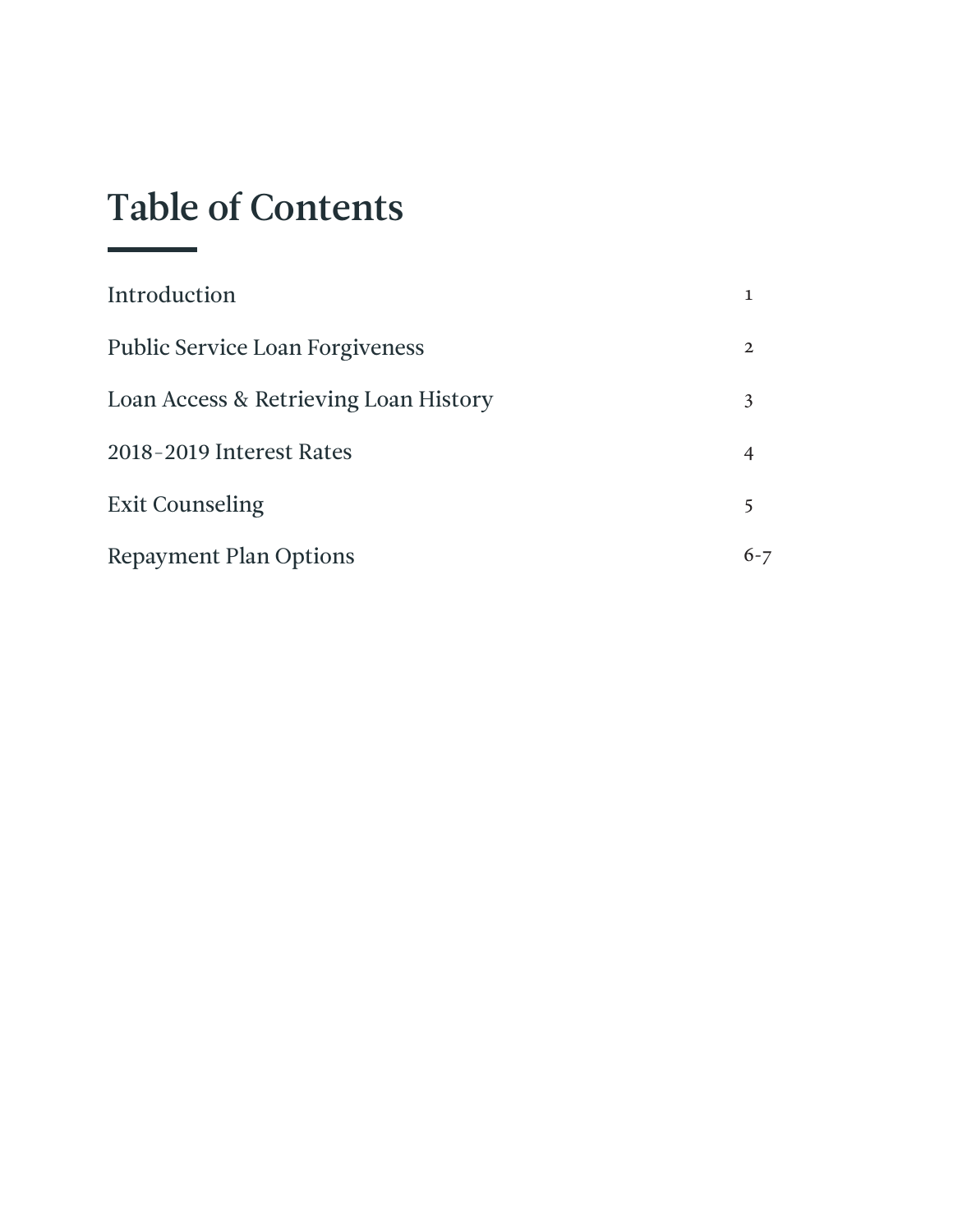#### Table of Contents

| Introduction                           |                |
|----------------------------------------|----------------|
| <b>Public Service Loan Forgiveness</b> | $\mathbf{2}$   |
| Loan Access & Retrieving Loan History  | 3              |
| 2018-2019 Interest Rates               | $\overline{4}$ |
| <b>Exit Counseling</b>                 | 5              |
| <b>Repayment Plan Options</b>          |                |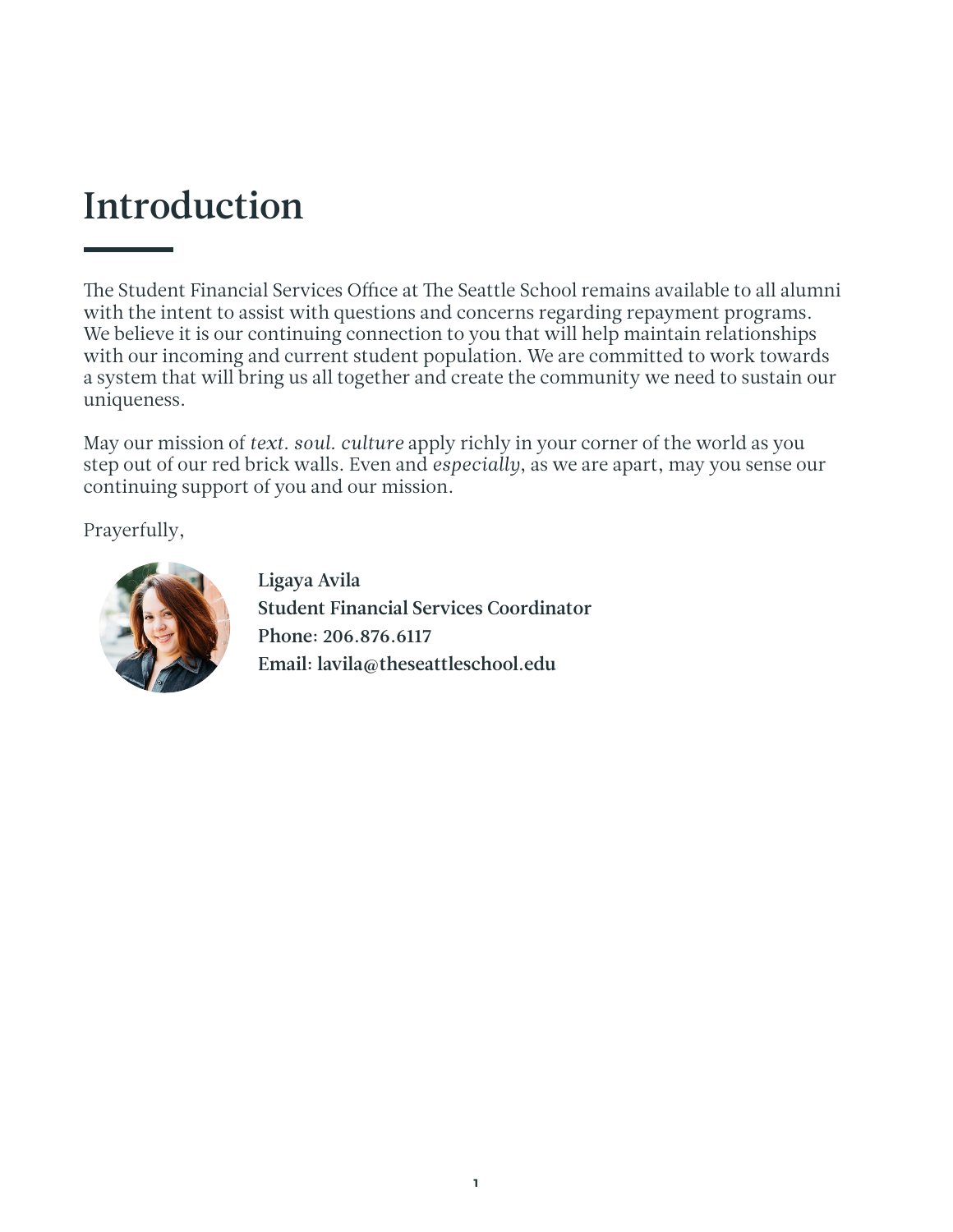#### Introduction

The Student Financial Services Office at The Seattle School remains available to all alumni with the intent to assist with questions and concerns regarding repayment programs. We believe it is our continuing connection to you that will help maintain relationships with our incoming and current student population. We are committed to work towards a system that will bring us all together and create the community we need to sustain our uniqueness.

May our mission of *text. soul. culture* apply richly in your corner of the world as you step out of our red brick walls. Even and *especially*, as we are apart, may you sense our continuing support of you and our mission.

Prayerfully,



Ligaya Avila Student Financial Services Coordinator Phone: 206.876.6117 Email: lavila@theseattleschool.edu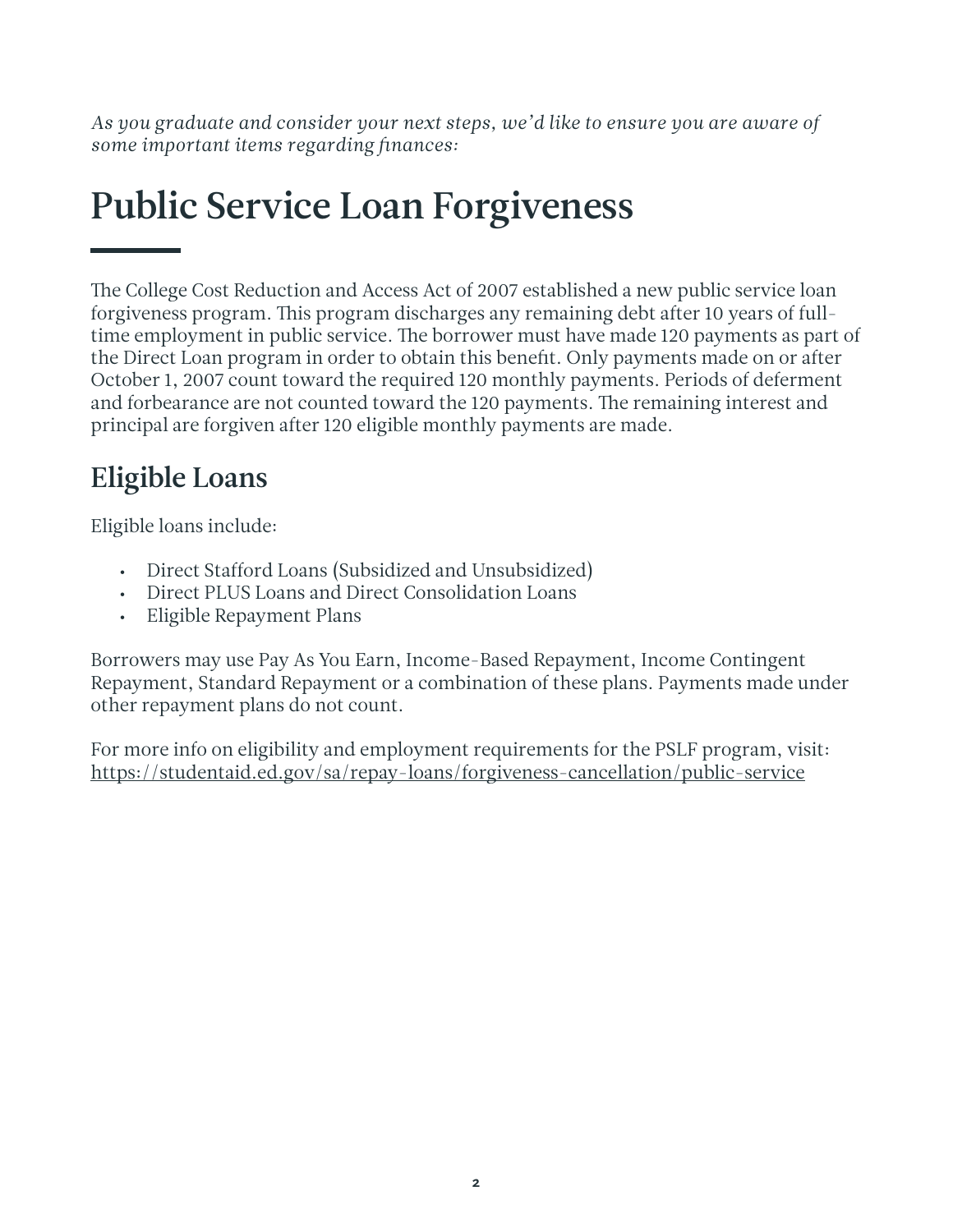*As you graduate and consider your next steps, we'd like to ensure you are aware of some important items regarding finances:*

#### Public Service Loan Forgiveness

The College Cost Reduction and Access Act of 2007 established a new public service loan forgiveness program. This program discharges any remaining debt after 10 years of fulltime employment in public service. The borrower must have made 120 payments as part of the Direct Loan program in order to obtain this benefit. Only payments made on or after October 1, 2007 count toward the required 120 monthly payments. Periods of deferment and forbearance are not counted toward the 120 payments. The remaining interest and principal are forgiven after 120 eligible monthly payments are made.

#### Eligible Loans

Eligible loans include:

- Direct Stafford Loans (Subsidized and Unsubsidized)
- Direct PLUS Loans and Direct Consolidation Loans
- Eligible Repayment Plans

Borrowers may use Pay As You Earn, Income-Based Repayment, Income Contingent Repayment, Standard Repayment or a combination of these plans. Payments made under other repayment plans do not count.

For more info on eligibility and employment requirements for the PSLF program, visit: https://studentaid.ed.gov/sa/repay-loans/forgiveness-cancellation/public-service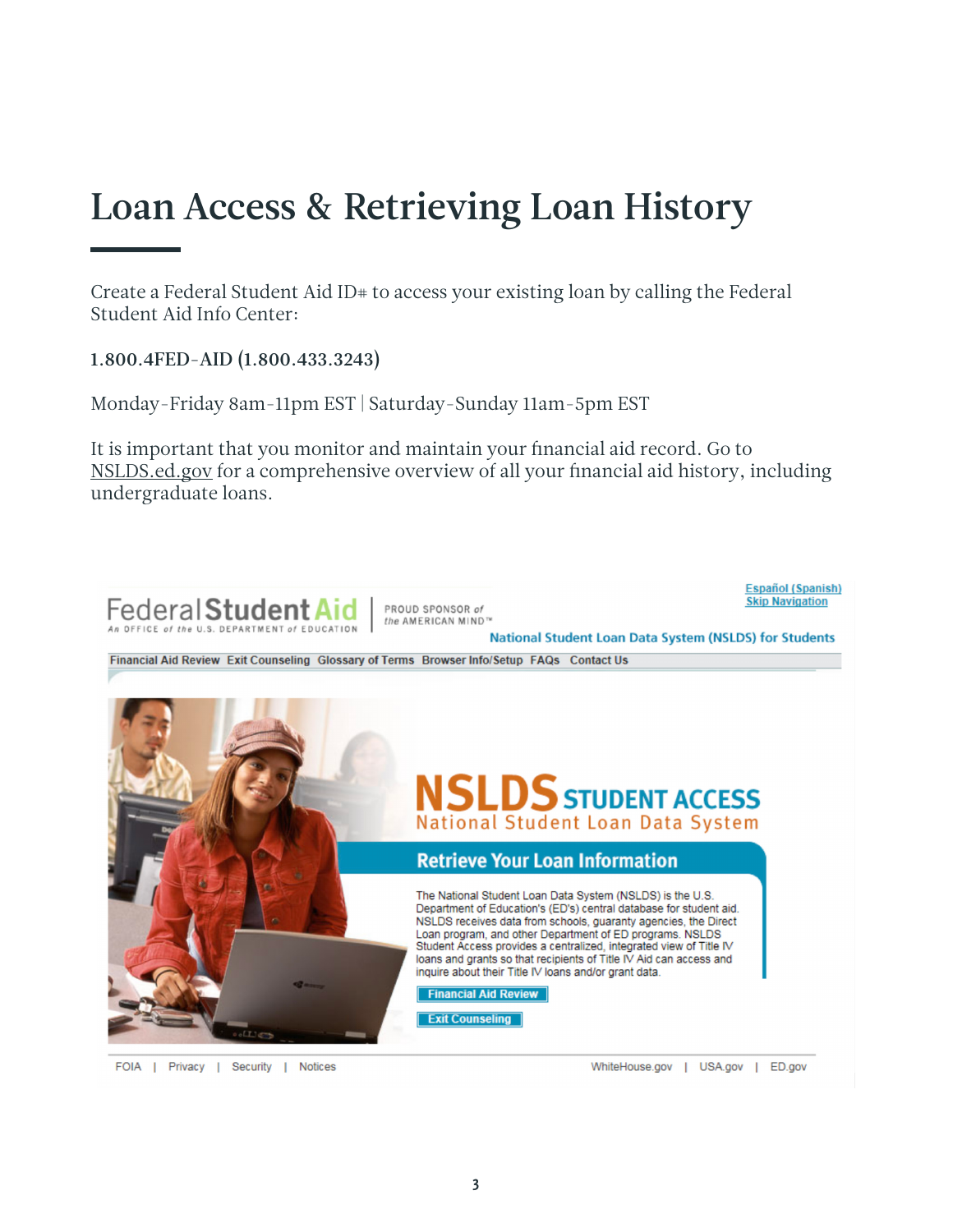#### Loan Access & Retrieving Loan History

Create a Federal Student Aid ID<sup>#</sup> to access your existing loan by calling the Federal Student Aid Info Center:

1.800.4FED-AID (1.800.433.3243)

Monday-Friday 8am-11pm EST | Saturday-Sunday 11am-5pm EST

It is important that you monitor and maintain your financial aid record. Go to NSLDS.ed.gov for a comprehensive overview of all your financial aid history, including undergraduate loans.



FOIA | Privacy | Security | Notices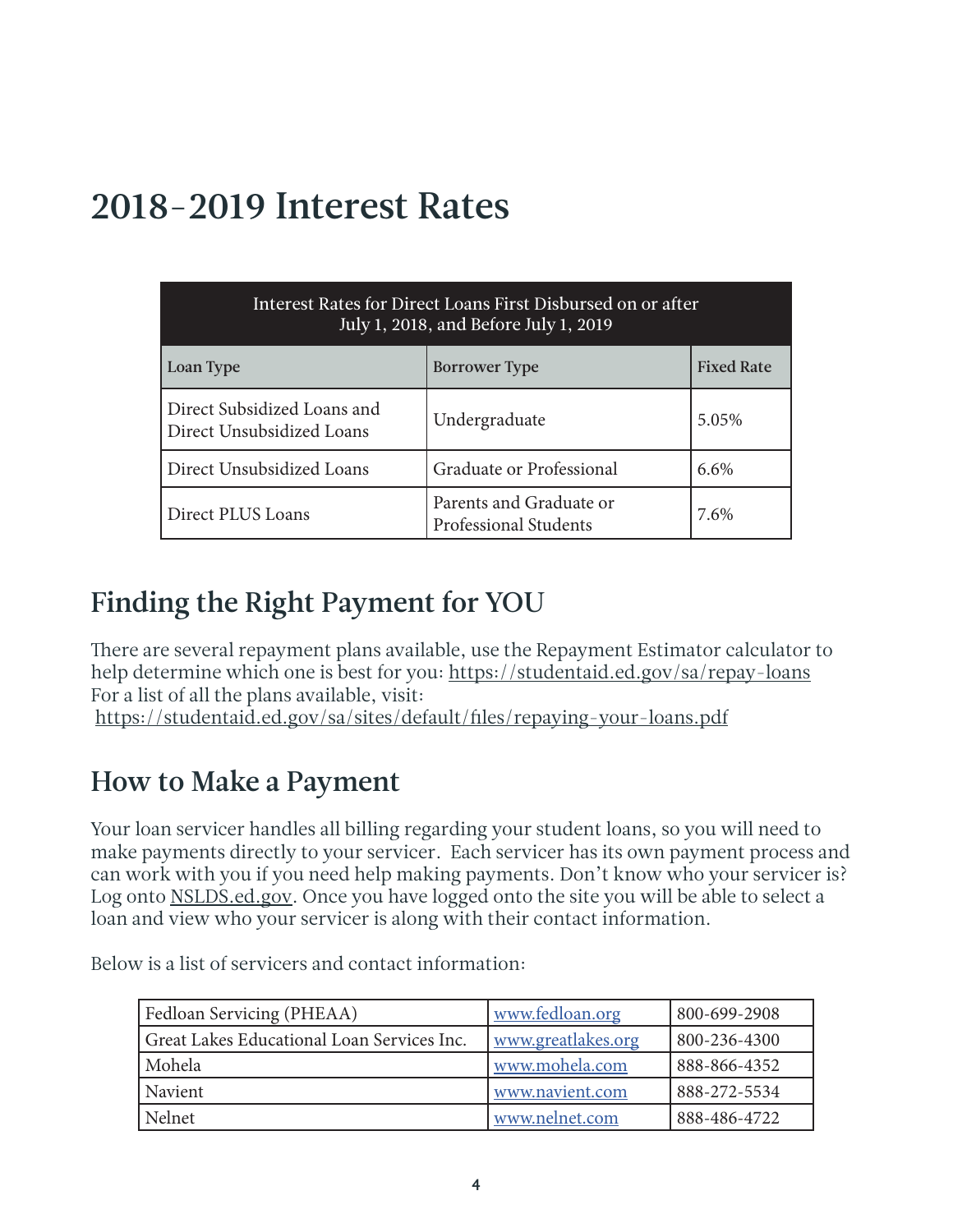#### 2018-2019 Interest Rates

| Interest Rates for Direct Loans First Disbursed on or after<br>July 1, 2018, and Before July 1, 2019 |                                                  |                   |  |
|------------------------------------------------------------------------------------------------------|--------------------------------------------------|-------------------|--|
| Loan Type                                                                                            | <b>Borrower Type</b>                             | <b>Fixed Rate</b> |  |
| Direct Subsidized Loans and<br>Direct Unsubsidized Loans                                             | Undergraduate                                    | 5.05%             |  |
| Direct Unsubsidized Loans                                                                            | Graduate or Professional                         | 6.6%              |  |
| Direct PLUS Loans                                                                                    | Parents and Graduate or<br>Professional Students | 7.6%              |  |

#### Finding the Right Payment for YOU

There are several repayment plans available, use the Repayment Estimator calculator to help determine which one is best for you: https://studentaid.ed.gov/sa/repay-loans For a list of all the plans available, visit: https://studentaid.ed.gov/sa/sites/default/files/repaying-your-loans.pdf

#### How to Make a Payment

Your loan servicer handles all billing regarding your student loans, so you will need to make payments directly to your servicer. Each servicer has its own payment process and can work with you if you need help making payments. Don't know who your servicer is? Log onto NSLDS.ed.gov. Once you have logged onto the site you will be able to select a loan and view who your servicer is along with their contact information.

Below is a list of servicers and contact information:

| Fedloan Servicing (PHEAA)                  | www.fedloan.org    | 800-699-2908 |
|--------------------------------------------|--------------------|--------------|
| Great Lakes Educational Loan Services Inc. | www.greatlakes.org | 800-236-4300 |
| Mohela                                     | www.mohela.com     | 888-866-4352 |
| Navient                                    | www.navient.com    | 888-272-5534 |
| Nelnet                                     | www.nelnet.com     | 888-486-4722 |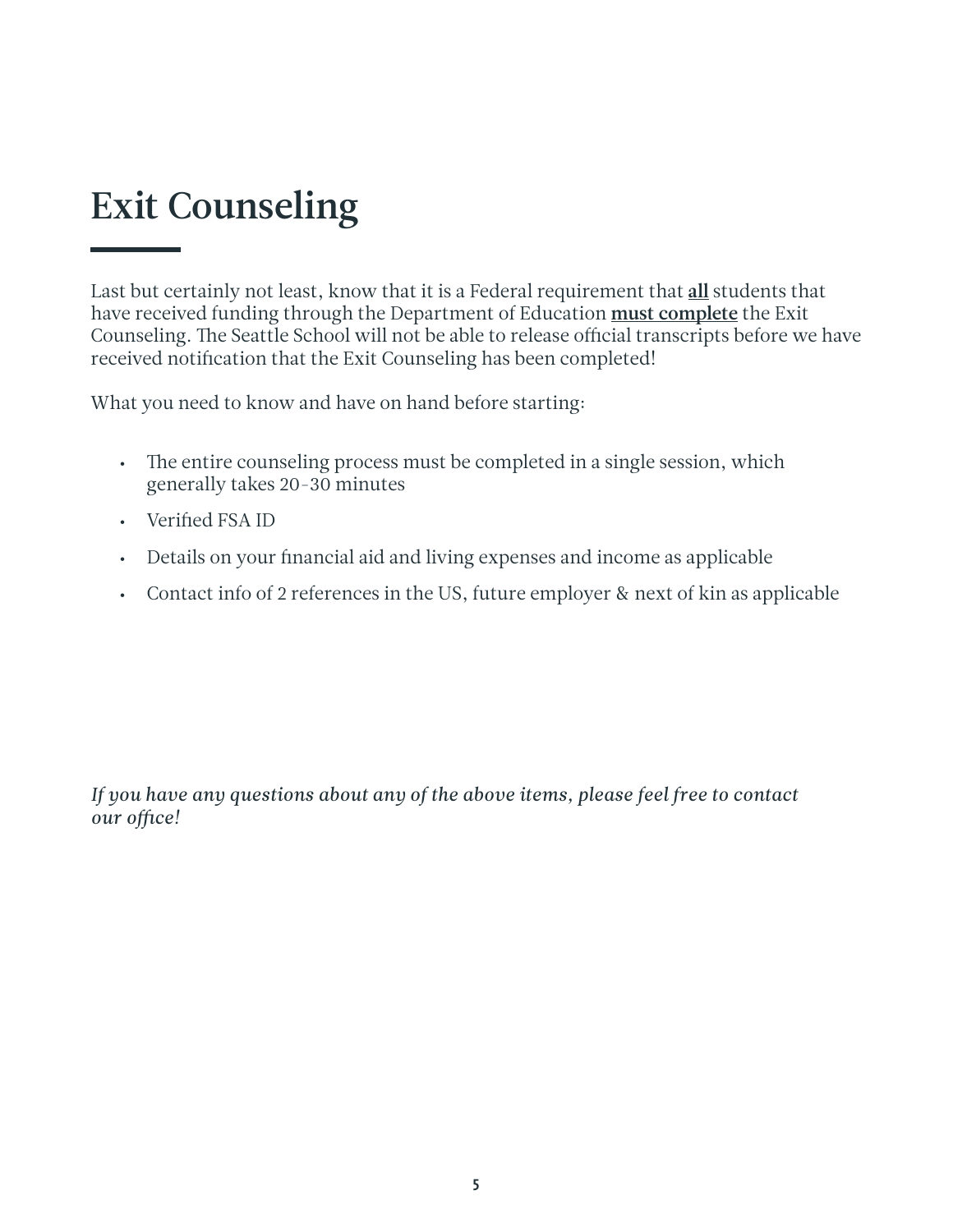#### Exit Counseling

Last but certainly not least, know that it is a Federal requirement that all students that have received funding through the Department of Education must complete the Exit Counseling. The Seattle School will not be able to release official transcripts before we have received notification that the Exit Counseling has been completed!

What you need to know and have on hand before starting:

- The entire counseling process must be completed in a single session, which generally takes 20-30 minutes
- Verified FSA ID
- Details on your financial aid and living expenses and income as applicable
- Contact info of 2 references in the US, future employer & next of kin as applicable

*If you have any questions about any of the above items, please feel free to contact our office!*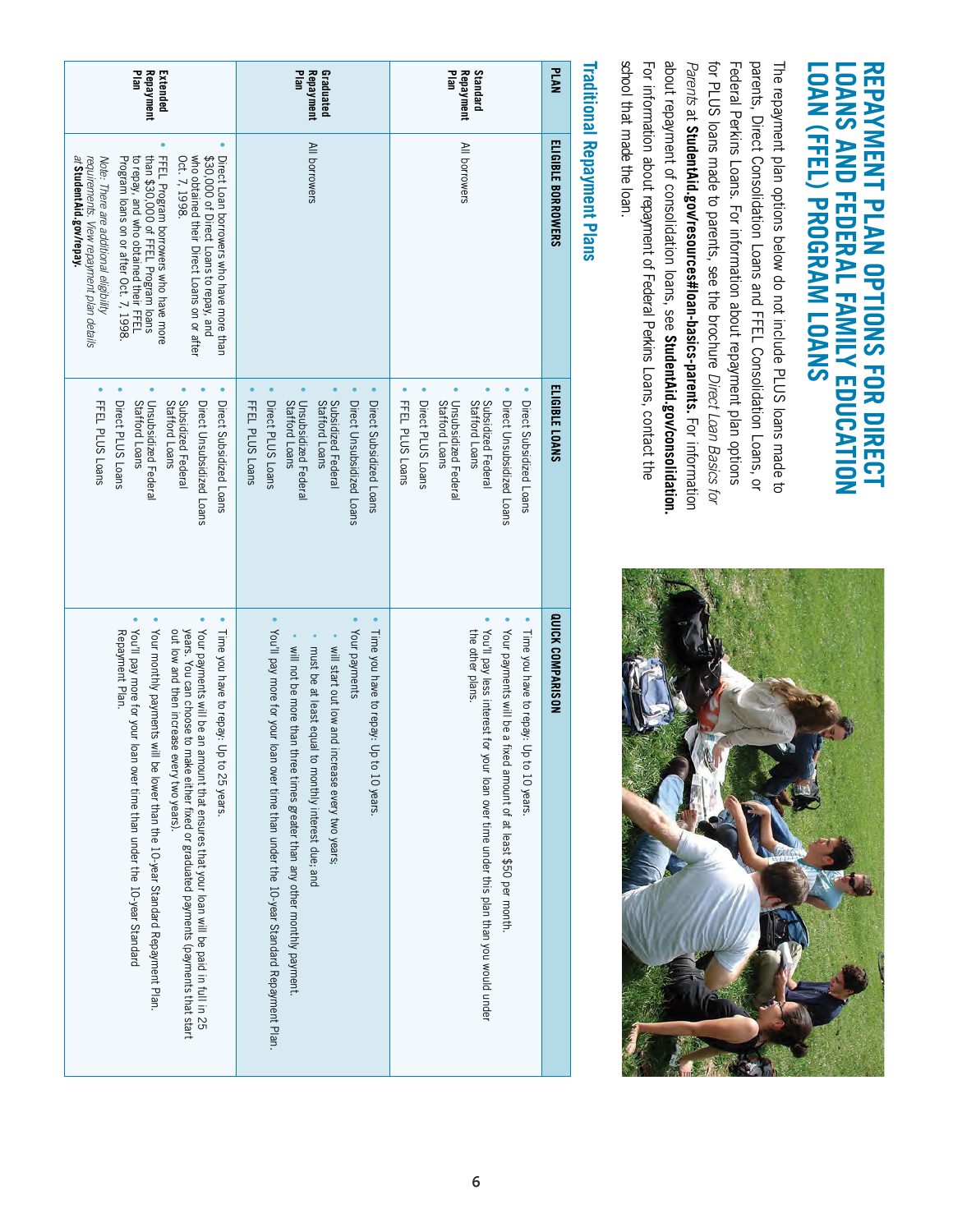### REPAYMENT PLAN OPTIONS FOR DIRECT LOANS AND FEDERAL FAMILY EDUCATION<br>LOAN (FFEL) PROGRAM LOANS **LOAN (FFEL) PROGRAM LOANS LOANS AND FEDERAL FAMILY EDUCATION REPAYMENT PLAN OPTIONS FOR DIRECT**

school that made the loan. about repayment of consolidation loans, see StudentAid.gov/consolidation. school that made the loan. For information about repayment of Federal Perkins Loans, contact the Parents at StudentAid.gov/resources#loan-basics-parents. For information for PLUS loans made to parents, see the brochure Direct Loan Basics for for PLUS loans made to parents, see the brochure Federal Perkins Loans. For information about repayment plan options parents, Direct Consolidation Loans and FFEL Consolidation Loans, or The repayment plan options below do not include PLUS loans made to The repayment plan options below do not include PLUS loans made to For information about repayment of Federal Perkins Loans, contact the about repayment of consolidation loans, see *Parents* at Federal Perkins Loans. For information about repayment plan options parents, Direct Consolidation Loans and FFEL Consolidation Loans, or **StudentAid.gov/resources#loan-basics-parents. StudentAid.gov/consolidation.**  *Direct Loan Basics for*  For information



## **Traditional Repayment Plans Traditional Repayment Plans**

| ᇃ                                                                                                                                                                                                                                                                                                                                                                                                                                                         | Plan                                                                                                                                                                                                                                                                                                                                        | Plan                                                                                                                                                                                                                        | <b>PLAN</b>        |
|-----------------------------------------------------------------------------------------------------------------------------------------------------------------------------------------------------------------------------------------------------------------------------------------------------------------------------------------------------------------------------------------------------------------------------------------------------------|---------------------------------------------------------------------------------------------------------------------------------------------------------------------------------------------------------------------------------------------------------------------------------------------------------------------------------------------|-----------------------------------------------------------------------------------------------------------------------------------------------------------------------------------------------------------------------------|--------------------|
| Repayment                                                                                                                                                                                                                                                                                                                                                                                                                                                 | Repayment                                                                                                                                                                                                                                                                                                                                   | Standard                                                                                                                                                                                                                    |                    |
| Extended                                                                                                                                                                                                                                                                                                                                                                                                                                                  | Graduated                                                                                                                                                                                                                                                                                                                                   | Repayment                                                                                                                                                                                                                   |                    |
| FFEL Program borrowers who have more<br>than \$30,000 of FFEL Program loans<br>\$30,000 of Direct Loans to repay, and<br>Direct Loan borrowers who have more than<br>at StudentAid.gov/repay.<br>to repay, and who obtained their FFEL<br>Oct. 7, 1998.<br>who obtained their Direct Loans on or after<br>Note: There are additional eligibility<br>Program loans on or after Oct. 7, 1998.<br>requirements. View repayment plan details                  | All borrowers                                                                                                                                                                                                                                                                                                                               | All borrowers                                                                                                                                                                                                               | ELIGIBLE BORROWERS |
| FFEL PLUS Loans                                                                                                                                                                                                                                                                                                                                                                                                                                           | FFEL PLUS Loans                                                                                                                                                                                                                                                                                                                             | Unsubsidized Federal                                                                                                                                                                                                        | ELIGIBLE LOANS     |
| Unsubsidized Federal                                                                                                                                                                                                                                                                                                                                                                                                                                      | Direct PLUS Loans                                                                                                                                                                                                                                                                                                                           | Direct PLUS Loans                                                                                                                                                                                                           |                    |
| Subsidized Federal                                                                                                                                                                                                                                                                                                                                                                                                                                        | Unsubsidized Federal                                                                                                                                                                                                                                                                                                                        | FFEL PLUS Loans                                                                                                                                                                                                             |                    |
| Direct Unsubsidized Loans                                                                                                                                                                                                                                                                                                                                                                                                                                 | Subsidized Federal                                                                                                                                                                                                                                                                                                                          | Subsidized Federal                                                                                                                                                                                                          |                    |
| Direct Subsidized Loans                                                                                                                                                                                                                                                                                                                                                                                                                                   | Direct Unsubsidized Loans                                                                                                                                                                                                                                                                                                                   | Direct Unsubsidized Loans                                                                                                                                                                                                   |                    |
| Direct PLUS Loans                                                                                                                                                                                                                                                                                                                                                                                                                                         | Stafford Loans                                                                                                                                                                                                                                                                                                                              | Direct Subsidized Loans                                                                                                                                                                                                     |                    |
| Stafford Loans                                                                                                                                                                                                                                                                                                                                                                                                                                            | Direct Subsidized Loans                                                                                                                                                                                                                                                                                                                     | Stafford Loans                                                                                                                                                                                                              |                    |
| Stafford Loans                                                                                                                                                                                                                                                                                                                                                                                                                                            | Stafford Loans                                                                                                                                                                                                                                                                                                                              | Stafford Loans                                                                                                                                                                                                              |                    |
| Your monthly payments will be lower than the 10-year Standard Repayment Plan.<br>Time you have to repay: Up to 25 years<br>You'll pay more for your loan over time than under the 10-year Standard<br>Repayment Plan.<br>years. You can choose to make either fixed or graduated payments (payments that start<br>Your payments will be an amount that ensures that your loan will be paid in full in 25<br>out low and then increase<br>every two years) | You'll pay more for your loan over time than under the 10-year Standard Repayment Plan.<br>Your payments<br>Time you have to repay: Up to 10 years.<br>will start out low and increase every two years;<br>will not be more than three times greater than any other monthly payment.<br>must be at least equal to monthly interest due; and | Your payments will be a fixed amount of at least \$50 per month.<br>You'll pay less interest for<br>the other plans.<br>Time you have to repay: Up to 10 years.<br>your loan over time under this plan than you would under | QUICK COMPARISON   |